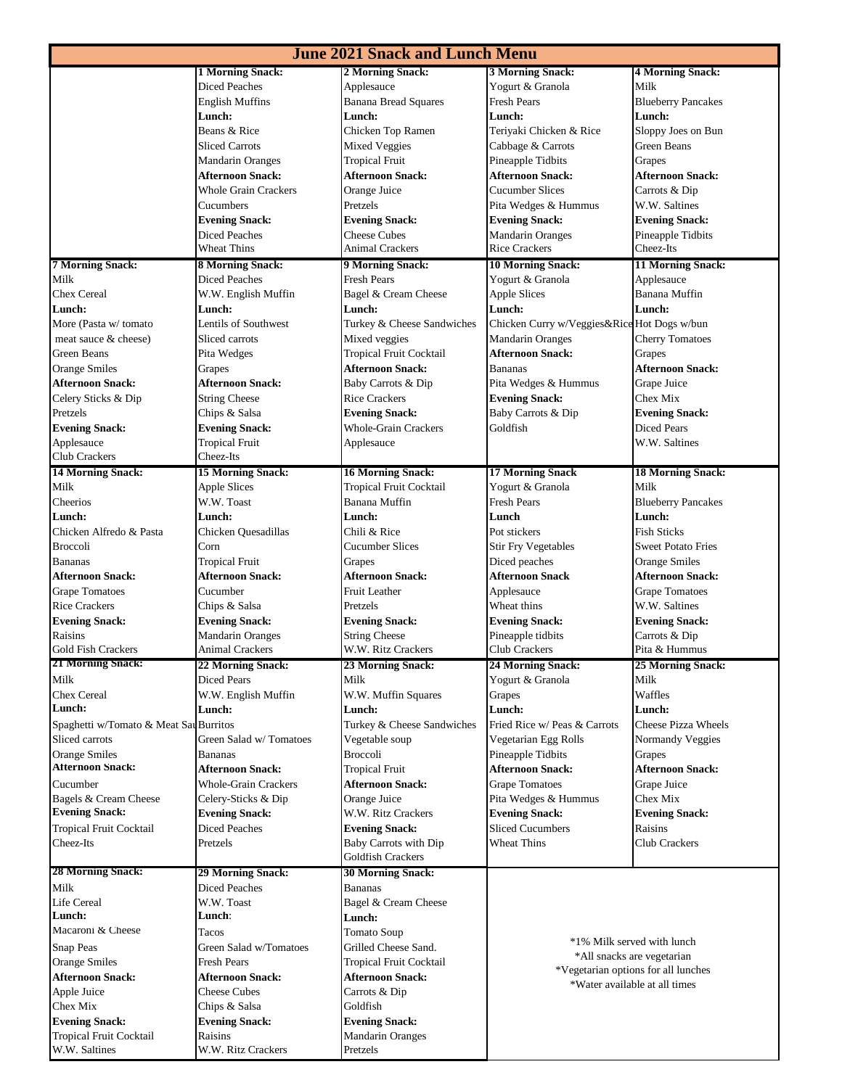| <b>June 2021 Snack and Lunch Menu</b>  |                                                 |                                                            |                                             |                                     |  |  |  |  |
|----------------------------------------|-------------------------------------------------|------------------------------------------------------------|---------------------------------------------|-------------------------------------|--|--|--|--|
|                                        | <b>1 Morning Snack:</b>                         | 2 Morning Snack:                                           | 3 Morning Snack:                            | <b>4 Morning Snack:</b>             |  |  |  |  |
|                                        | <b>Diced Peaches</b>                            | Applesauce                                                 | Yogurt & Granola                            | Milk                                |  |  |  |  |
|                                        | English Muffins                                 | <b>Banana Bread Squares</b>                                | <b>Fresh Pears</b>                          | <b>Blueberry Pancakes</b>           |  |  |  |  |
|                                        | Lunch:                                          | Lunch:                                                     | Lunch:                                      | Lunch:                              |  |  |  |  |
|                                        | Beans & Rice                                    | Chicken Top Ramen                                          | Teriyaki Chicken & Rice                     | Sloppy Joes on Bun                  |  |  |  |  |
|                                        | <b>Sliced Carrots</b>                           | <b>Mixed Veggies</b>                                       | Cabbage & Carrots                           | Green Beans                         |  |  |  |  |
|                                        | <b>Mandarin Oranges</b>                         | <b>Tropical Fruit</b>                                      | Pineapple Tidbits                           | Grapes                              |  |  |  |  |
|                                        | <b>Afternoon Snack:</b>                         | <b>Afternoon Snack:</b>                                    | <b>Afternoon Snack:</b>                     | <b>Afternoon Snack:</b>             |  |  |  |  |
|                                        | <b>Whole Grain Crackers</b>                     | Orange Juice                                               | <b>Cucumber Slices</b>                      | Carrots & Dip                       |  |  |  |  |
|                                        | Cucumbers                                       | Pretzels                                                   | Pita Wedges & Hummus                        | W.W. Saltines                       |  |  |  |  |
|                                        | <b>Evening Snack:</b>                           | <b>Evening Snack:</b>                                      | <b>Evening Snack:</b>                       | <b>Evening Snack:</b>               |  |  |  |  |
|                                        | <b>Diced Peaches</b>                            | <b>Cheese Cubes</b>                                        | <b>Mandarin Oranges</b>                     | Pineapple Tidbits                   |  |  |  |  |
|                                        | Wheat Thins                                     | Animal Crackers                                            | <b>Rice Crackers</b>                        | Cheez-Its                           |  |  |  |  |
| <b>7 Morning Snack:</b>                | <b>8 Morning Snack:</b>                         | <b>9 Morning Snack:</b>                                    | <b>10 Morning Snack:</b>                    | 11 Morning Snack:                   |  |  |  |  |
| Milk                                   | <b>Diced Peaches</b>                            | <b>Fresh Pears</b>                                         | Yogurt & Granola                            | Applesauce                          |  |  |  |  |
| <b>Chex Cereal</b>                     | W.W. English Muffin                             | Bagel & Cream Cheese                                       | <b>Apple Slices</b>                         | Banana Muffin                       |  |  |  |  |
| Lunch:                                 | Lunch:                                          | Lunch:                                                     | Lunch:                                      | Lunch:                              |  |  |  |  |
| More (Pasta w/ tomato                  | Lentils of Southwest                            | Turkey & Cheese Sandwiches                                 | Chicken Curry w/Veggies&Rice Hot Dogs w/bun |                                     |  |  |  |  |
| meat sauce & cheese)                   | Sliced carrots                                  | Mixed veggies                                              | <b>Mandarin Oranges</b>                     | <b>Cherry Tomatoes</b>              |  |  |  |  |
| Green Beans                            | Pita Wedges                                     | Tropical Fruit Cocktail                                    | <b>Afternoon Snack:</b>                     | Grapes                              |  |  |  |  |
| <b>Orange Smiles</b>                   | Grapes                                          | Afternoon Snack:                                           | <b>Bananas</b>                              | <b>Afternoon Snack:</b>             |  |  |  |  |
| <b>Afternoon Snack:</b>                | <b>Afternoon Snack:</b>                         | Baby Carrots & Dip                                         | Pita Wedges & Hummus                        | Grape Juice                         |  |  |  |  |
| Celery Sticks & Dip                    | <b>String Cheese</b>                            | <b>Rice Crackers</b>                                       | <b>Evening Snack:</b>                       | Chex Mix                            |  |  |  |  |
| Pretzels                               | Chips & Salsa                                   | <b>Evening Snack:</b>                                      | Baby Carrots & Dip                          | <b>Evening Snack:</b>               |  |  |  |  |
| <b>Evening Snack:</b>                  | <b>Evening Snack:</b>                           | <b>Whole-Grain Crackers</b>                                | Goldfish                                    | Diced Pears                         |  |  |  |  |
| Applesauce<br>Club Crackers            | <b>Tropical Fruit</b><br>Cheez-Its              | Applesauce                                                 |                                             | W.W. Saltines                       |  |  |  |  |
|                                        |                                                 |                                                            |                                             |                                     |  |  |  |  |
| <b>14 Morning Snack:</b>               | <b>15 Morning Snack:</b><br><b>Apple Slices</b> | <b>16 Morning Snack:</b><br><b>Tropical Fruit Cocktail</b> | <b>17 Morning Snack</b><br>Yogurt & Granola | <b>18 Morning Snack:</b><br>Milk    |  |  |  |  |
| Milk<br>Cheerios                       | W.W. Toast                                      | Banana Muffin                                              | <b>Fresh Pears</b>                          |                                     |  |  |  |  |
|                                        | <b>Lunch:</b>                                   | Lunch:                                                     | Lunch                                       | <b>Blueberry Pancakes</b><br>Lunch: |  |  |  |  |
| Lunch:<br>Chicken Alfredo & Pasta      | Chicken Quesadillas                             | Chili & Rice                                               | Pot stickers                                | <b>Fish Sticks</b>                  |  |  |  |  |
| <b>Broccoli</b>                        | Corn                                            | <b>Cucumber Slices</b>                                     | <b>Stir Fry Vegetables</b>                  | <b>Sweet Potato Fries</b>           |  |  |  |  |
| <b>Bananas</b>                         | <b>Tropical Fruit</b>                           | Grapes                                                     | Diced peaches                               | <b>Orange Smiles</b>                |  |  |  |  |
| <b>Afternoon Snack:</b>                | <b>Afternoon Snack:</b>                         | <b>Afternoon Snack:</b>                                    | <b>Afternoon Snack</b>                      | <b>Afternoon Snack:</b>             |  |  |  |  |
| <b>Grape Tomatoes</b>                  | Cucumber                                        | <b>Fruit Leather</b>                                       | Applesauce                                  | <b>Grape Tomatoes</b>               |  |  |  |  |
| <b>Rice Crackers</b>                   | Chips & Salsa                                   | Pretzels                                                   | Wheat thins                                 | W.W. Saltines                       |  |  |  |  |
| <b>Evening Snack:</b>                  | <b>Evening Snack:</b>                           | <b>Evening Snack:</b>                                      | <b>Evening Snack:</b>                       | <b>Evening Snack:</b>               |  |  |  |  |
| Raisins                                | <b>Mandarin Oranges</b>                         | <b>String Cheese</b>                                       | Pineapple tidbits                           | Carrots & Dip                       |  |  |  |  |
| <b>Gold Fish Crackers</b>              | Animal Crackers                                 | W.W. Ritz Crackers                                         | Club Crackers                               | Pita & Hummus                       |  |  |  |  |
| <b>21 Morning Snack:</b>               | <b>22 Morning Snack:</b>                        | <b>23 Morning Snack:</b>                                   | <b>24 Morning Snack:</b>                    | 25 Morning Snack:                   |  |  |  |  |
| Milk                                   | Diced Pears                                     | Milk                                                       | Yogurt & Granola                            | Milk                                |  |  |  |  |
| <b>Chex Cereal</b>                     | W.W. English Muffin                             | W.W. Muffin Squares                                        | Grapes                                      | Waffles                             |  |  |  |  |
| Lunch:                                 | Lunch:                                          | Lunch:                                                     | Lunch:                                      | Lunch:                              |  |  |  |  |
| Spaghetti w/Tomato & Meat Sau Burritos |                                                 | Turkey & Cheese Sandwiches                                 | Fried Rice w/ Peas & Carrots                | <b>Cheese Pizza Wheels</b>          |  |  |  |  |
| Sliced carrots                         | Green Salad w/Tomatoes                          | Vegetable soup                                             | Vegetarian Egg Rolls                        | Normandy Veggies                    |  |  |  |  |
| <b>Orange Smiles</b>                   | Bananas                                         | <b>Broccoli</b>                                            | Pineapple Tidbits                           | Grapes                              |  |  |  |  |
| <b>Afternoon Snack:</b>                | <b>Afternoon Snack:</b>                         | <b>Tropical Fruit</b>                                      | <b>Afternoon Snack:</b>                     | <b>Afternoon Snack:</b>             |  |  |  |  |
| Cucumber                               | <b>Whole-Grain Crackers</b>                     | <b>Afternoon Snack:</b>                                    | <b>Grape Tomatoes</b>                       | Grape Juice                         |  |  |  |  |
| Bagels & Cream Cheese                  | Celery-Sticks & Dip                             | Orange Juice                                               | Pita Wedges & Hummus                        | Chex Mix                            |  |  |  |  |
| <b>Evening Snack:</b>                  | <b>Evening Snack:</b>                           | W.W. Ritz Crackers                                         | <b>Evening Snack:</b>                       | <b>Evening Snack:</b>               |  |  |  |  |
| Tropical Fruit Cocktail                | <b>Diced Peaches</b>                            | <b>Evening Snack:</b>                                      | <b>Sliced Cucumbers</b>                     | Raisins                             |  |  |  |  |
| Cheez-Its                              | Pretzels                                        | Baby Carrots with Dip                                      | <b>Wheat Thins</b>                          | <b>Club Crackers</b>                |  |  |  |  |
|                                        |                                                 | Goldfish Crackers                                          |                                             |                                     |  |  |  |  |
| <b>28 Morning Snack:</b>               | <b>29 Morning Snack:</b>                        | <b>30 Morning Snack:</b>                                   |                                             |                                     |  |  |  |  |
| Milk                                   | <b>Diced Peaches</b>                            | Bananas                                                    |                                             |                                     |  |  |  |  |
| Life Cereal                            | W.W. Toast                                      | Bagel & Cream Cheese                                       |                                             |                                     |  |  |  |  |
| Lunch:                                 | Lunch:                                          | Lunch:                                                     |                                             |                                     |  |  |  |  |
| Macaroni & Cheese                      | Tacos                                           | Tomato Soup                                                |                                             |                                     |  |  |  |  |
| <b>Snap Peas</b>                       | Green Salad w/Tomatoes                          | Grilled Cheese Sand.                                       | *1% Milk served with lunch                  |                                     |  |  |  |  |
| <b>Orange Smiles</b>                   | <b>Fresh Pears</b>                              | <b>Tropical Fruit Cocktail</b>                             | *All snacks are vegetarian                  |                                     |  |  |  |  |
| <b>Afternoon Snack:</b>                | <b>Afternoon Snack:</b>                         | <b>Afternoon Snack:</b>                                    | *Vegetarian options for all lunches         |                                     |  |  |  |  |
| Apple Juice                            | <b>Cheese Cubes</b>                             | Carrots & Dip                                              | *Water available at all times               |                                     |  |  |  |  |
| Chex Mix                               | Chips & Salsa                                   | Goldfish                                                   |                                             |                                     |  |  |  |  |
| <b>Evening Snack:</b>                  | <b>Evening Snack:</b>                           | <b>Evening Snack:</b>                                      |                                             |                                     |  |  |  |  |
| <b>Tropical Fruit Cocktail</b>         | Raisins                                         | Mandarin Oranges                                           |                                             |                                     |  |  |  |  |
| W.W. Saltines                          | W.W. Ritz Crackers                              | Pretzels                                                   |                                             |                                     |  |  |  |  |